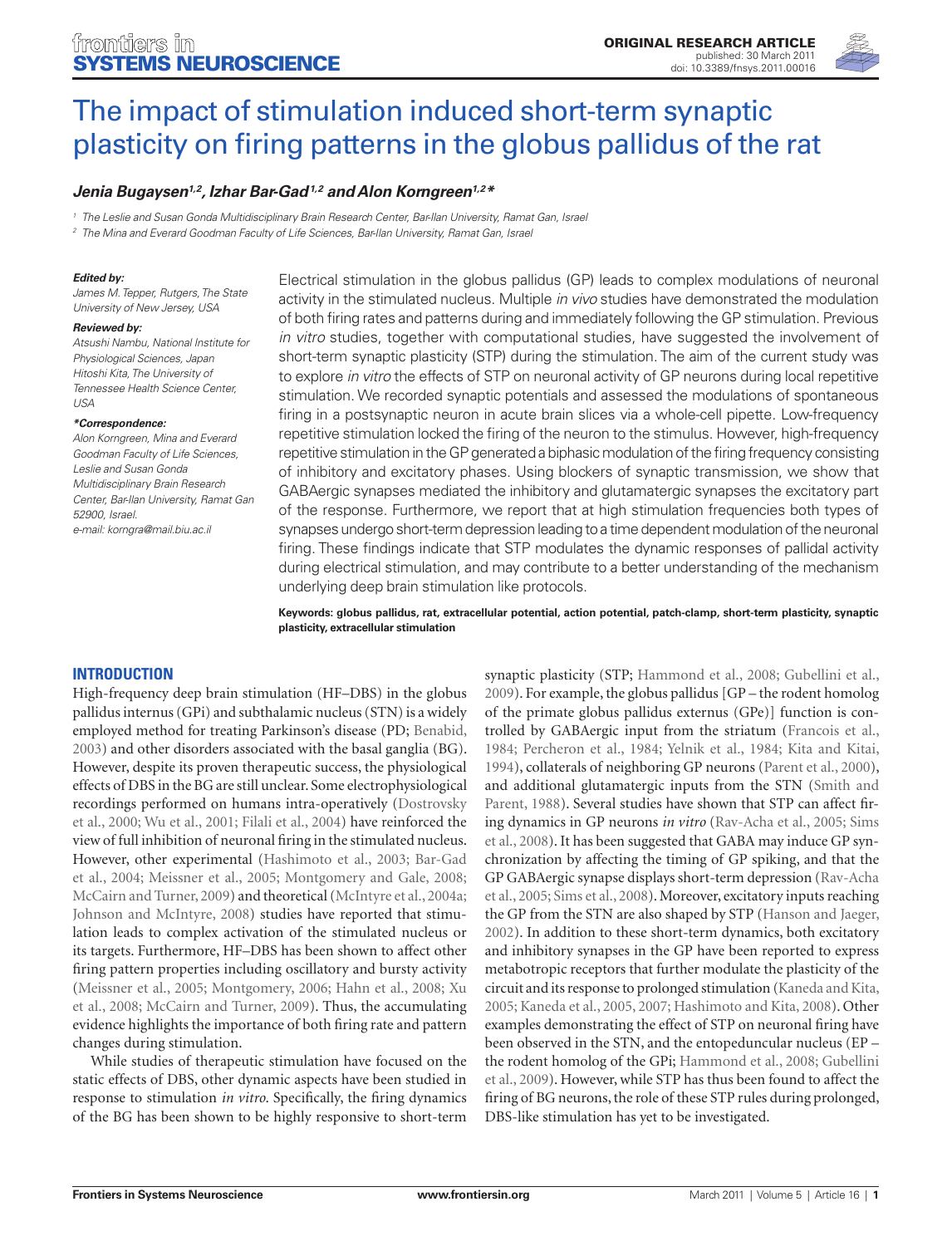

# The impact of stimulation induced short-term synaptic [plasticity on firing patterns in the globus pallidus of the rat](http://admin.frontiersin.org/systems_neuroscience/10.3389/fnsys.2011.00016/abstract)

# *Jenia Bugaysen1,2, [Izhar Bar-Gad](http://admin.frontiersin.org/people/izharbar_gad/6871)1,2 and [Alon Korngreen](http://admin.frontiersin.org/people/alonkorngreen/1872)1,2\**

*<sup>1</sup> The Leslie and Susan Gonda Multidisciplinary Brain Research Center, Bar-Ilan University, Ramat Gan, Israel*

*<sup>2</sup> The Mina and Everard Goodman Faculty of Life Sciences, Bar-Ilan University, Ramat Gan, Israel*

### *Edited by:*

*James M. Tepper, Rutgers, The State University of New Jersey, USA*

#### *Reviewed by:*

*Atsushi Nambu, National Institute for Physiological Sciences, Japan Hitoshi Kita, The University of Tennessee Health Science Center,*   $\overline{U}$ 

#### *\*Correspondence:*

*Alon Korngreen, Mina and Everard Goodman Faculty of Life Sciences, Leslie and Susan Gonda Multidisciplinary Brain Research Center, Bar-Ilan University, Ramat Gan 52900, Israel. e-mail: korngra@mail.biu.ac.il*

Electrical stimulation in the globus pallidus (GP) leads to complex modulations of neuronal activity in the stimulated nucleus. Multiple *in vivo* studies have demonstrated the modulation of both firing rates and patterns during and immediately following the GP stimulation. Previous *in vitro* studies, together with computational studies, have suggested the involvement of short-term synaptic plasticity (STP) during the stimulation. The aim of the current study was to explore *in vitro* the effects of STP on neuronal activity of GP neurons during local repetitive stimulation. We recorded synaptic potentials and assessed the modulations of spontaneous firing in a postsynaptic neuron in acute brain slices via a whole-cell pipette. Low-frequency repetitive stimulation locked the firing of the neuron to the stimulus. However, high-frequency repetitive stimulation in the GP generated a biphasic modulation of the firing frequency consisting of inhibitory and excitatory phases. Using blockers of synaptic transmission, we show that GABAergic synapses mediated the inhibitory and glutamatergic synapses the excitatory part of the response. Furthermore, we report that at high stimulation frequencies both types of synapses undergo short-term depression leading to a time dependent modulation of the neuronal firing. These findings indicate that STP modulates the dynamic responses of pallidal activity during electrical stimulation, and may contribute to a better understanding of the mechanism underlying deep brain stimulation like protocols.

**Keywords: globus pallidus, rat, extracellular potential, action potential, patch-clamp, short-term plasticity, synaptic plasticity, extracellular stimulation**

# **Introduction**

High-frequency deep brain stimulation (HF–DBS) in the globus pallidus internus (GPi) and subthalamic nucleus (STN) is a widely employed method for treating Parkinson's disease (PD; Benabid, 2003) and other disorders associated with the basal ganglia (BG). However, despite its proven therapeutic success, the physiological effects of DBS in the BG are still unclear. Some electrophysiological recordings performed on humans intra-operatively (Dostrovsky et al., 2000; Wu et al., 2001; Filali et al., 2004) have reinforced the view of full inhibition of neuronal firing in the stimulated nucleus. However, other experimental (Hashimoto et al., 2003; Bar-Gad et al., 2004; Meissner et al., 2005; Montgomery and Gale, 2008; McCairn and Turner, 2009) and theoretical (McIntyre et al., 2004a; Johnson and McIntyre, 2008) studies have reported that stimulation leads to complex activation of the stimulated nucleus or its targets. Furthermore, HF–DBS has been shown to affect other firing pattern properties including oscillatory and bursty activity (Meissner et al., 2005; Montgomery, 2006; Hahn et al., 2008; Xu et al., 2008; McCairn and Turner, 2009). Thus, the accumulating evidence highlights the importance of both firing rate and pattern changes during stimulation.

While studies of therapeutic stimulation have focused on the static effects of DBS, other dynamic aspects have been studied in response to stimulation *in vitro*. Specifically, the firing dynamics of the BG has been shown to be highly responsive to short-term

synaptic plasticity (STP; Hammond et al., 2008; Gubellini et al., 2009). For example, the globus pallidus [GP – the rodent homolog of the primate globus pallidus externus (GPe)] function is controlled by GABAergic input from the striatum (Francois et al., 1984; Percheron et al., 1984; Yelnik et al., 1984; Kita and Kitai, 1994), collaterals of neighboring GP neurons (Parent et al., 2000), and additional glutamatergic inputs from the STN (Smith and Parent, 1988). Several studies have shown that STP can affect firing dynamics in GP neurons *in vitro* (Rav-Acha et al., 2005; Sims et al., 2008). It has been suggested that GABA may induce GP synchronization by affecting the timing of GP spiking, and that the GP GABAergic synapse displays short-term depression (Rav-Acha et al., 2005; Sims et al., 2008). Moreover, excitatory inputs reaching the GP from the STN are also shaped by STP (Hanson and Jaeger, 2002). In addition to these short-term dynamics, both excitatory and inhibitory synapses in the GP have been reported to express metabotropic receptors that further modulate the plasticity of the circuit and its response to prolonged stimulation (Kaneda and Kita, 2005; Kaneda et al., 2005, 2007; Hashimoto and Kita, 2008). Other examples demonstrating the effect of STP on neuronal firing have been observed in the STN, and the entopeduncular nucleus (EP – the rodent homolog of the GPi; Hammond et al., 2008; Gubellini et al., 2009). However, while STP has thus been found to affect the firing of BG neurons, the role of these STP rules during prolonged, DBS-like stimulation has yet to be investigated.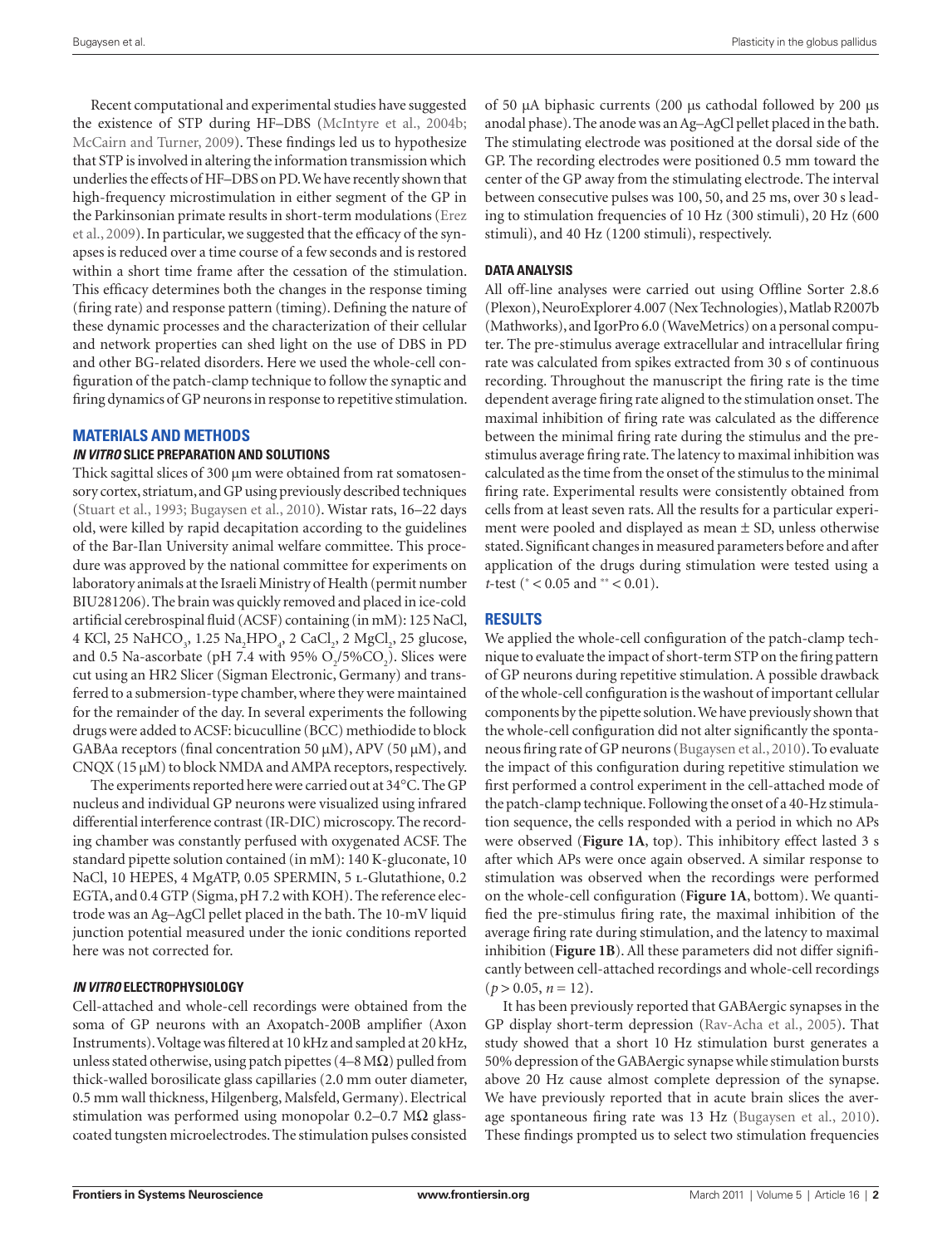Recent computational and experimental studies have suggested the existence of STP during HF–DBS (McIntyre et al., 2004b; McCairn and Turner, 2009). These findings led us to hypothesize that STP is involved in altering the information transmission which underlies the effects of HF–DBS on PD. We have recently shown that high-frequency microstimulation in either segment of the GP in the Parkinsonian primate results in short-term modulations (Erez et al., 2009). In particular, we suggested that the efficacy of the synapses is reduced over a time course of a few seconds and is restored within a short time frame after the cessation of the stimulation. This efficacy determines both the changes in the response timing (firing rate) and response pattern (timing). Defining the nature of these dynamic processes and the characterization of their cellular and network properties can shed light on the use of DBS in PD and other BG-related disorders. Here we used the whole-cell configuration of the patch-clamp technique to follow the synaptic and firing dynamics of GP neurons in response to repetitive stimulation.

# **Materials and Methods**

## *In vitro* **slice preparation and solutions**

Thick sagittal slices of 300 μm were obtained from rat somatosensory cortex, striatum, and GP using previously described techniques (Stuart et al., 1993; Bugaysen et al., 2010). Wistar rats, 16–22 days old, were killed by rapid decapitation according to the guidelines of the Bar-Ilan University animal welfare committee. This procedure was approved by the national committee for experiments on laboratory animals at the Israeli Ministry of Health (permit number BIU281206). The brain was quickly removed and placed in ice-cold artificial cerebrospinal fluid (ACSF) containing (in mM): 125 NaCl, 4 KCl, 25 NaHCO<sub>3</sub>, 1.25 Na<sub>2</sub>HPO<sub>4</sub>, 2 CaCl<sub>2</sub>, 2 MgCl<sub>2</sub>, 25 glucose, and 0.5 Na-ascorbate (pH 7.4 with 95%  $O_2/5\%CO_2$ ). Slices were cut using an HR2 Slicer (Sigman Electronic, Germany) and transferred to a submersion-type chamber, where they were maintained for the remainder of the day. In several experiments the following drugs were added to ACSF: bicuculline (BCC) methiodide to block GABAa receptors (final concentration 50 μM), APV (50 μM), and  $CNQX$  (15  $\mu$ M) to block NMDA and AMPA receptors, respectively.

The experiments reported here were carried out at 34°C. The GP nucleus and individual GP neurons were visualized using infrared differential interference contrast (IR-DIC) microscopy. The recording chamber was constantly perfused with oxygenated ACSF. The standard pipette solution contained (in mM): 140 K-gluconate, 10 NaCl, 10 HEPES, 4 MgATP, 0.05 SPERMIN, 5 L-Glutathione, 0.2 EGTA, and 0.4 GTP (Sigma, pH 7.2 with KOH). The reference electrode was an Ag–AgCl pellet placed in the bath. The 10-mV liquid junction potential measured under the ionic conditions reported here was not corrected for.

## *In vitro* **electrophysiology**

Cell-attached and whole-cell recordings were obtained from the soma of GP neurons with an Axopatch-200B amplifier (Axon Instruments). Voltage was filtered at 10 kHz and sampled at 20 kHz, unless stated otherwise, using patch pipettes (4–8 M $\Omega$ ) pulled from thick-walled borosilicate glass capillaries (2.0 mm outer diameter, 0.5 mm wall thickness, Hilgenberg, Malsfeld, Germany). Electrical stimulation was performed using monopolar 0.2–0.7 M $\Omega$  glasscoated tungsten microelectrodes. The stimulation pulses consisted of 50 μA biphasic currents (200 μs cathodal followed by 200 μs anodal phase). The anode was an Ag–AgCl pellet placed in the bath. The stimulating electrode was positioned at the dorsal side of the GP. The recording electrodes were positioned 0.5 mm toward the center of the GP away from the stimulating electrode. The interval between consecutive pulses was 100, 50, and 25 ms, over 30 s leading to stimulation frequencies of 10 Hz (300 stimuli), 20 Hz (600 stimuli), and 40 Hz (1200 stimuli), respectively.

# **Data analysis**

All off-line analyses were carried out using Offline Sorter 2.8.6 (Plexon), NeuroExplorer 4.007 (Nex Technologies), Matlab R2007b (Mathworks), and IgorPro 6.0 (WaveMetrics) on a personal computer. The pre-stimulus average extracellular and intracellular firing rate was calculated from spikes extracted from 30 s of continuous recording. Throughout the manuscript the firing rate is the time dependent average firing rate aligned to the stimulation onset. The maximal inhibition of firing rate was calculated as the difference between the minimal firing rate during the stimulus and the prestimulus average firing rate. The latency to maximal inhibition was calculated as the time from the onset of the stimulus to the minimal firing rate. Experimental results were consistently obtained from cells from at least seven rats. All the results for a particular experiment were pooled and displayed as mean ± SD, unless otherwise stated. Significant changes in measured parameters before and after application of the drugs during stimulation were tested using a *t*-test (\* < 0.05 and \*\* < 0.01).

# **Results**

We applied the whole-cell configuration of the patch-clamp technique to evaluate the impact of short-term STP on the firing pattern of GP neurons during repetitive stimulation. A possible drawback of the whole-cell configuration is the washout of important cellular components by the pipette solution. We have previously shown that the whole-cell configuration did not alter significantly the spontaneous firing rate of GP neurons (Bugaysen et al., 2010). To evaluate the impact of this configuration during repetitive stimulation we first performed a control experiment in the cell-attached mode of the patch-clamp technique. Following the onset of a 40-Hz stimulation sequence, the cells responded with a period in which no APs were observed (**Figure 1A**, top). This inhibitory effect lasted 3 s after which APs were once again observed. A similar response to stimulation was observed when the recordings were performed on the whole-cell configuration (**Figure 1A**, bottom). We quantified the pre-stimulus firing rate, the maximal inhibition of the average firing rate during stimulation, and the latency to maximal inhibition (**Figure 1B**). All these parameters did not differ significantly between cell-attached recordings and whole-cell recordings  $(p > 0.05, n = 12).$ 

It has been previously reported that GABAergic synapses in the GP display short-term depression (Rav-Acha et al., 2005). That study showed that a short 10 Hz stimulation burst generates a 50% depression of the GABAergic synapse while stimulation bursts above 20 Hz cause almost complete depression of the synapse. We have previously reported that in acute brain slices the average spontaneous firing rate was 13 Hz (Bugaysen et al., 2010). These findings prompted us to select two stimulation frequencies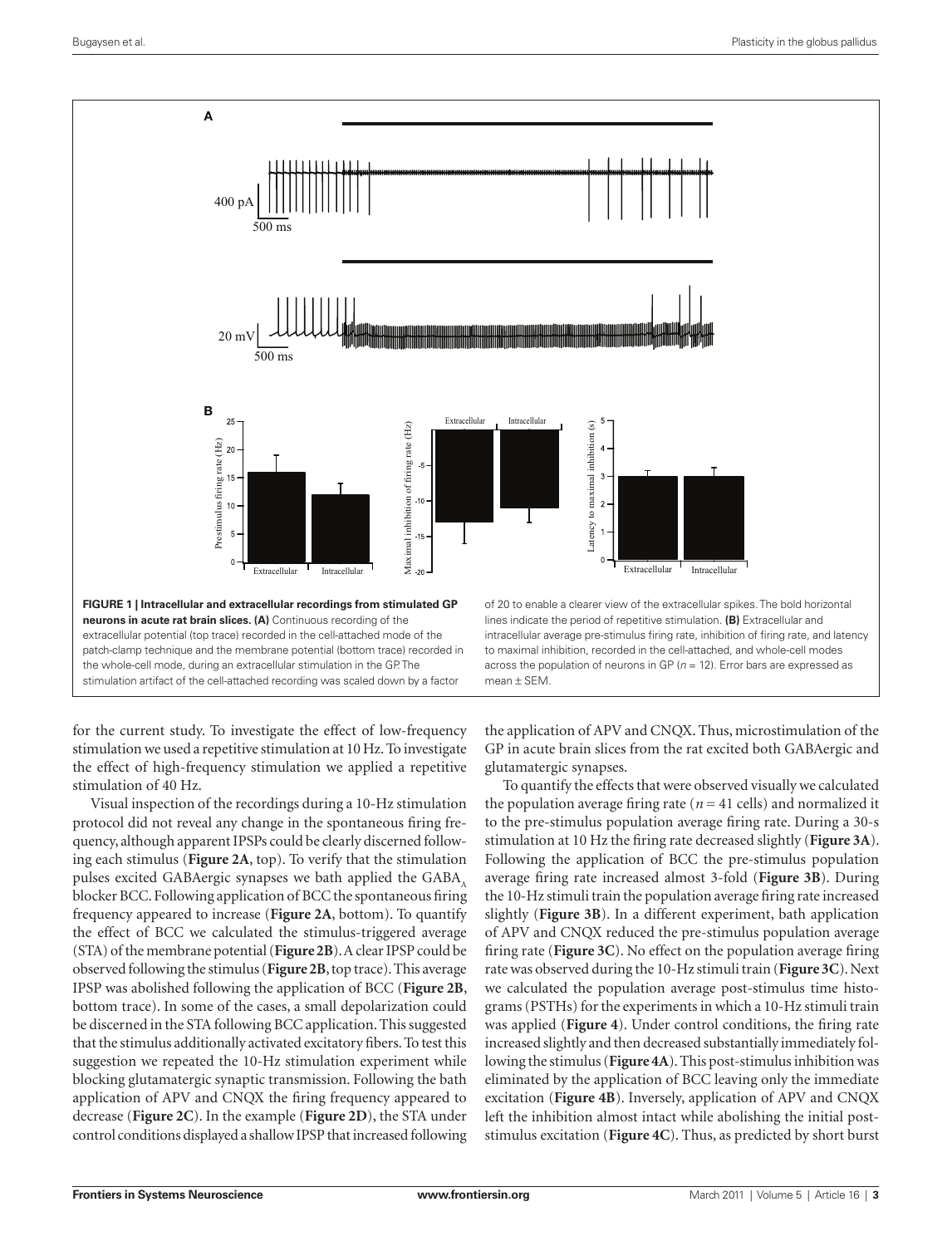

for the current study. To investigate the effect of low-frequency stimulation we used a repetitive stimulation at 10Hz. To investigate the effect of high-frequency stimulation we applied a repetitive stimulation of 40 Hz.

Visual inspection of the recordings during a 10-Hz stimulation protocol did not reveal any change in the spontaneous firing frequency, although apparent IPSPs could be clearly discerned following each stimulus (**Figure 2A**, top). To verify that the stimulation pulses excited GABAergic synapses we bath applied the GABA, blocker BCC. Following application of BCC the spontaneous firing frequency appeared to increase (**Figure 2A**, bottom). To quantify the effect of BCC we calculated the stimulus-triggered average (STA) of the membrane potential (**Figure 2B**). A clear IPSP could be observed following the stimulus (**Figure 2B**, top trace). This average IPSP was abolished following the application of BCC (**Figure 2B**, bottom trace). In some of the cases, a small depolarization could be discerned in the STA following BCC application. This suggested that the stimulus additionally activated excitatory fibers. To test this suggestion we repeated the 10-Hz stimulation experiment while blocking glutamatergic synaptic transmission. Following the bath application of APV and CNQX the firing frequency appeared to decrease (**Figure 2C**). In the example (**Figure 2D**), the STA under **Example 1**<br> **Example 1**<br> **Example 1**<br> **Example 1**<br> **Example 1**<br> **EGURE 1** [Interactiblar and extracellular recording from stimulated GP<br>
neurons in active rat brain slices. (A) Continuous recording of the<br>
patterbolomy b

the application of APV and CNQX. Thus, microstimulation of the GP in acute brain slices from the rat excited both GABAergic and glutamatergic synapses.

To quantify the effects that were observed visually we calculated the population average firing rate ( $n = 41$  cells) and normalized it to the pre-stimulus population average firing rate. During a 30-s stimulation at 10 Hz the firing rate decreased slightly (**Figure 3A**). Following the application of BCC the pre-stimulus population average firing rate increased almost 3-fold (**Figure 3B**). During the 10-Hz stimuli train the population average firing rate increased slightly (**Figure 3B**). In a different experiment, bath application of APV and CNQX reduced the pre-stimulus population average firing rate (**Figure 3C**). No effect on the population average firing rate was observed during the 10-Hz stimuli train (**Figure 3C**). Next we calculated the population average post-stimulus time histograms (PSTHs) for the experiments in which a 10-Hz stimuli train was applied (**Figure 4**). Under control conditions, the firing rate increased slightly and then decreased substantially immediately following the stimulus (**Figure 4A**). This post-stimulus inhibition was eliminated by the application of BCC leaving only the immediate excitation (**Figure 4B**). Inversely, application of APV and CNQX left the inhibition almost intact while abolishing the initial poststimulus excitation (**Figure 4C**). Thus, as predicted by short burst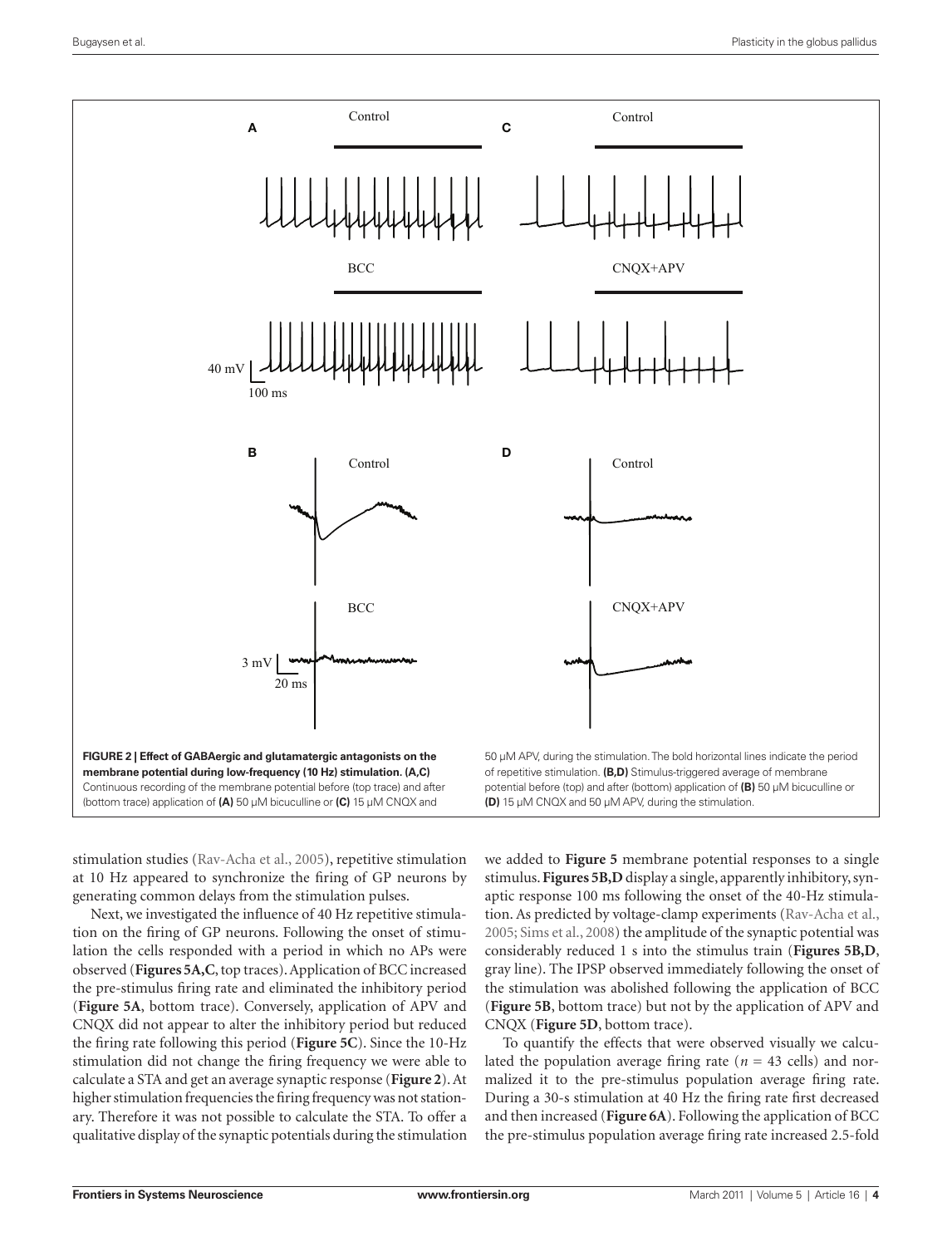

stimulation studies (Rav-Acha et al., 2005), repetitive stimulation at 10 Hz appeared to synchronize the firing of GP neurons by generating common delays from the stimulation pulses.

Next, we investigated the influence of 40 Hz repetitive stimulation on the firing of GP neurons. Following the onset of stimulation the cells responded with a period in which no APs were observed (**Figures 5A,C**, top traces). Application of BCC increased the pre-stimulus firing rate and eliminated the inhibitory period (**Figure 5A**, bottom trace). Conversely, application of APV and CNQX did not appear to alter the inhibitory period but reduced the firing rate following this period (**Figure 5C**). Since the 10-Hz stimulation did not change the firing frequency we were able to calculate a STA and get an average synaptic response (**Figure 2**). At higher stimulation frequencies the firing frequency was not stationary. Therefore it was not possible to calculate the STA. To offer a qualitative display of the synaptic potentials during the stimulation

we added to **Figure 5** membrane potential responses to a single stimulus. **Figures 5B,D** display a single, apparently inhibitory, synaptic response 100 ms following the onset of the 40-Hz stimulation. As predicted by voltage-clamp experiments (Rav-Acha et al., 2005; Sims et al., 2008) the amplitude of the synaptic potential was considerably reduced 1 s into the stimulus train (**Figures 5B,D**, gray line). The IPSP observed immediately following the onset of the stimulation was abolished following the application of BCC (**Figure 5B**, bottom trace) but not by the application of APV and CNQX (**Figure 5D**, bottom trace).

To quantify the effects that were observed visually we calculated the population average firing rate ( $n = 43$  cells) and normalized it to the pre-stimulus population average firing rate. During a 30-s stimulation at 40 Hz the firing rate first decreased and then increased (**Figure 6A**). Following the application of BCC the pre-stimulus population average firing rate increased 2.5-fold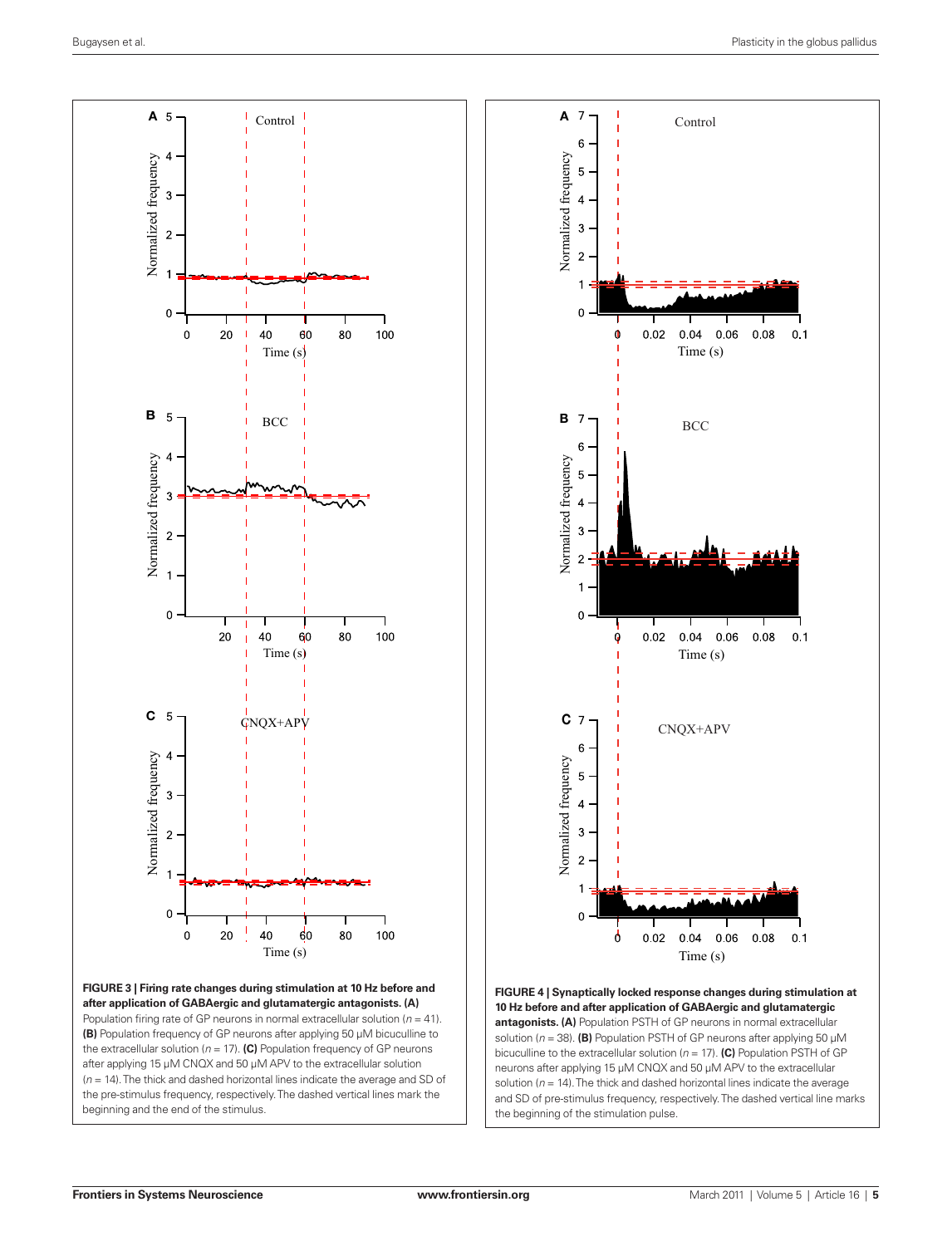

**Figure 3 | Firing rate changes during stimulation at 10 Hz before and after application of GABAergic and glutamatergic antagonists. (A)** Population firing rate of GP neurons in normal extracellular solution (*n* = 41). **(B)** Population frequency of GP neurons after applying 50 μM bicuculline to the extracellular solution ( $n = 17$ ). (C) Population frequency of GP neurons after applying 15 μM CNQX and 50 μM APV to the extracellular solution (*n* = 14). The thick and dashed horizontal lines indicate the average and SD of the pre-stimulus frequency, respectively. The dashed vertical lines mark the beginning and the end of the stimulus.



**Figure 4 | Synaptically locked response changes during stimulation at 10 Hz before and after application of GABAergic and glutamatergic antagonists. (A)** Population PSTH of GP neurons in normal extracellular solution (*n* = 38). **(B)** Population PSTH of GP neurons after applying 50 μM bicuculline to the extracellular solution (*n* = 17). **(C)** Population PSTH of GP neurons after applying 15 μM CNQX and 50 μM APV to the extracellular solution (*n* = 14). The thick and dashed horizontal lines indicate the average and SD of pre-stimulus frequency, respectively. The dashed vertical line marks the beginning of the stimulation pulse.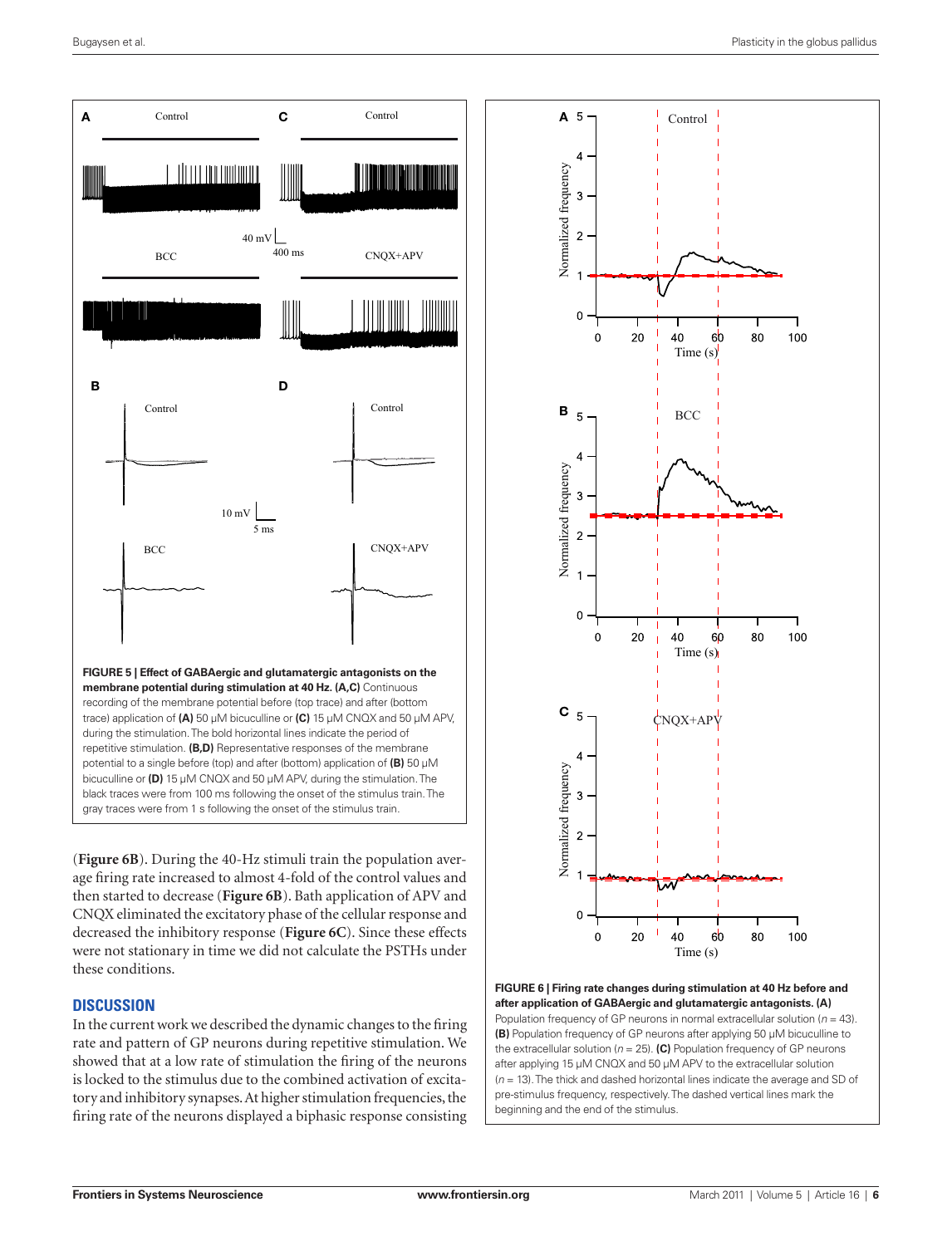

(**Figure 6B**). During the 40-Hz stimuli train the population average firing rate increased to almost 4-fold of the control values and then started to decrease (**Figure 6B**). Bath application of APV and CNQX eliminated the excitatory phase of the cellular response and decreased the inhibitory response (**Figure 6C**). Since these effects were not stationary in time we did not calculate the PSTHs under these conditions.

# **Discussion**

In the current work we described the dynamic changes to the firing rate and pattern of GP neurons during repetitive stimulation. We showed that at a low rate of stimulation the firing of the neurons is locked to the stimulus due to the combined activation of excitatory and inhibitory synapses. At higher stimulation frequencies, the firing rate of the neurons displayed a biphasic response consisting



**Figure 6 | Firing rate changes during stimulation at 40 Hz before and after application of GABAergic and glutamatergic antagonists. (A)** Population frequency of GP neurons in normal extracellular solution (*n* = 43). **(B)** Population frequency of GP neurons after applying 50 μM bicuculline to the extracellular solution ( $n = 25$ ). (C) Population frequency of GP neurons after applying 15 μM CNQX and 50 μM APV to the extracellular solution (*n* = 13). The thick and dashed horizontal lines indicate the average and SD of pre-stimulus frequency, respectively. The dashed vertical lines mark the beginning and the end of the stimulus.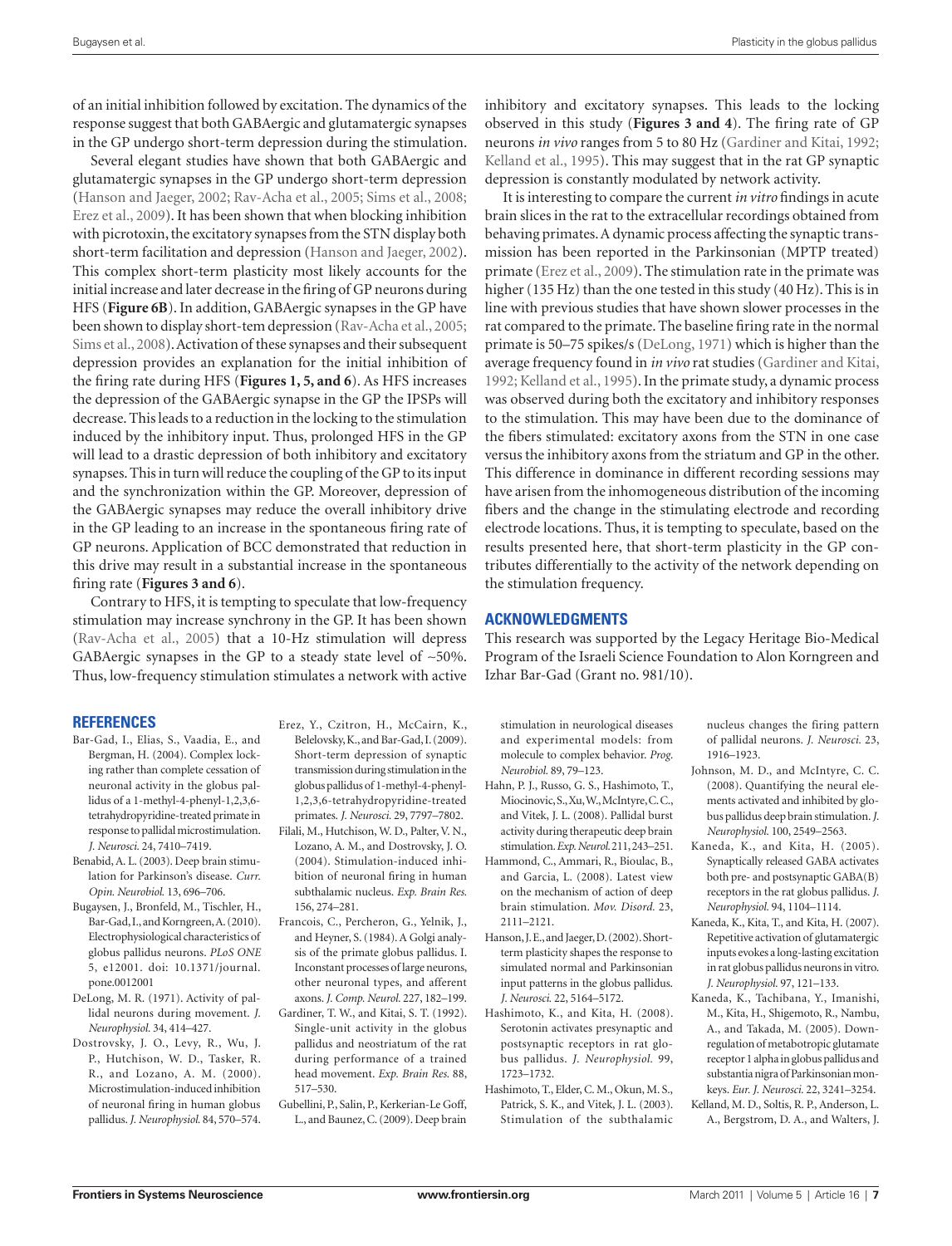of an initial inhibition followed by excitation. The dynamics of the response suggest that both GABAergic and glutamatergic synapses in the GP undergo short-term depression during the stimulation.

Several elegant studies have shown that both GABAergic and glutamatergic synapses in the GP undergo short-term depression (Hanson and Jaeger, 2002; Rav-Acha et al., 2005; Sims et al., 2008; Erez et al., 2009). It has been shown that when blocking inhibition with picrotoxin, the excitatory synapses from the STN display both short-term facilitation and depression (Hanson and Jaeger, 2002). This complex short-term plasticity most likely accounts for the initial increase and later decrease in the firing of GP neurons during HFS (**Figure 6B**). In addition, GABAergic synapses in the GP have been shown to display short-tem depression (Rav-Acha et al., 2005; Sims et al., 2008). Activation of these synapses and their subsequent depression provides an explanation for the initial inhibition of the firing rate during HFS (**Figures 1, 5, and 6**). As HFS increases the depression of the GABAergic synapse in the GP the IPSPs will decrease. This leads to a reduction in the locking to the stimulation induced by the inhibitory input. Thus, prolonged HFS in the GP will lead to a drastic depression of both inhibitory and excitatory synapses. This in turn will reduce the coupling of the GP to its input and the synchronization within the GP. Moreover, depression of the GABAergic synapses may reduce the overall inhibitory drive in the GP leading to an increase in the spontaneous firing rate of GP neurons. Application of BCC demonstrated that reduction in this drive may result in a substantial increase in the spontaneous firing rate (**Figures 3 and 6**).

Contrary to HFS, it is tempting to speculate that low-frequency stimulation may increase synchrony in the GP. It has been shown (Rav-Acha et al., 2005) that a 10-Hz stimulation will depress GABAergic synapses in the GP to a steady state level of ∼50%. Thus, low-frequency stimulation stimulates a network with active

#### **References**

- Bar-Gad, I., Elias, S., Vaadia, E., and Bergman, H. (2004). Complex locking rather than complete cessation of neuronal activity in the globus pallidus of a 1-methyl-4-phenyl-1,2,3,6 tetrahydropyridine-treated primate in response to pallidal microstimulation. *J. Neurosci.* 24, 7410–7419.
- Benabid, A. L. (2003). Deep brain stimulation for Parkinson's disease. *Curr. Opin. Neurobiol.* 13, 696–706.
- Bugaysen, J., Bronfeld, M., Tischler, H., Bar-Gad, I., and Korngreen, A. (2010). Electrophysiological characteristics of globus pallidus neurons. *PLoS ONE*  5, e12001. doi: 10.1371/journal. pone.0012001
- DeLong, M. R. (1971). Activity of pallidal neurons during movement. *J. Neurophysiol.* 34, 414–427.
- Dostrovsky, J. O., Levy, R., Wu, J. P., Hutchison, W. D., Tasker, R. R., and Lozano, A. M. (2000). Microstimulation-induced inhibition of neuronal firing in human globus pallidus. *J. Neurophysiol.* 84, 570–574.

Erez, Y., Czitron, H., McCairn, K., Belelovsky, K., and Bar-Gad, I. (2009). Short-term depression of synaptic transmission during stimulation in the globus pallidus of 1-methyl-4-phenyl-1,2,3,6-tetrahydropyridine-treated primates. *J. Neurosci.* 29, 7797–7802. Filali, M., Hutchison, W. D., Palter, V. N., Lozano, A. M., and Dostrovsky, J. O.

- (2004). Stimulation-induced inhibition of neuronal firing in human subthalamic nucleus. *Exp. Brain Res.*  156, 274–281.
- Francois, C., Percheron, G., Yelnik, J., and Heyner, S. (1984). A Golgi analysis of the primate globus pallidus. I. Inconstant processes of large neurons, other neuronal types, and afferent
- axons. *J. Comp. Neurol.* 227, 182–199. Gardiner, T. W., and Kitai, S. T. (1992). Single-unit activity in the globus pallidus and neostriatum of the rat during performance of a trained head movement. *Exp. Brain Res.* 88, 517–530.
- Gubellini, P., Salin, P., Kerkerian-Le Goff, L., and Baunez, C. (2009). Deep brain

inhibitory and excitatory synapses. This leads to the locking observed in this study (**Figures 3 and 4**). The firing rate of GP neurons *in vivo* ranges from 5 to 80 Hz (Gardiner and Kitai, 1992; Kelland et al., 1995). This may suggest that in the rat GP synaptic depression is constantly modulated by network activity.

It is interesting to compare the current *in vitro* findings in acute brain slices in the rat to the extracellular recordings obtained from behaving primates. A dynamic process affecting the synaptic transmission has been reported in the Parkinsonian (MPTP treated) primate (Erez et al., 2009). The stimulation rate in the primate was higher (135 Hz) than the one tested in this study (40 Hz). This is in line with previous studies that have shown slower processes in the rat compared to the primate. The baseline firing rate in the normal primate is 50–75 spikes/s (DeLong, 1971) which is higher than the average frequency found in *in vivo* rat studies (Gardiner and Kitai, 1992; Kelland et al., 1995). In the primate study, a dynamic process was observed during both the excitatory and inhibitory responses to the stimulation. This may have been due to the dominance of the fibers stimulated: excitatory axons from the STN in one case versus the inhibitory axons from the striatum and GP in the other. This difference in dominance in different recording sessions may have arisen from the inhomogeneous distribution of the incoming fibers and the change in the stimulating electrode and recording electrode locations. Thus, it is tempting to speculate, based on the results presented here, that short-term plasticity in the GP contributes differentially to the activity of the network depending on the stimulation frequency.

### **Acknowledgments**

This research was supported by the Legacy Heritage Bio-Medical Program of the Israeli Science Foundation to Alon Korngreen and Izhar Bar-Gad (Grant no. 981/10).

stimulation in neurological diseases and experimental models: from molecule to complex behavior. *Prog. Neurobiol.* 89, 79–123.

- Hahn, P. J., Russo, G. S., Hashimoto, T., Miocinovic, S., Xu, W., McIntyre, C. C., and Vitek, J. L. (2008). Pallidal burst activity during therapeutic deep brain stimulation. *Exp. Neurol.* 211, 243–251.
- Hammond, C., Ammari, R., Bioulac, B., and Garcia, L. (2008). Latest view on the mechanism of action of deep brain stimulation. *Mov. Disord.* 23, 2111–2121.
- Hanson, J. E., and Jaeger, D. (2002). Shortterm plasticity shapes the response to simulated normal and Parkinsonian input patterns in the globus pallidus. *J. Neurosci.* 22, 5164–5172.
- Hashimoto, K., and Kita, H. (2008). Serotonin activates presynaptic and postsynaptic receptors in rat globus pallidus. *J. Neurophysiol.* 99, 1723–1732.
- Hashimoto, T., Elder, C. M., Okun, M. S., Patrick, S. K., and Vitek, J. L. (2003). Stimulation of the subthalamic

nucleus changes the firing pattern of pallidal neurons. *J. Neurosci.* 23, 1916–1923.

- Johnson, M. D., and McIntyre, C. C. (2008). Quantifying the neural elements activated and inhibited by globus pallidus deep brain stimulation. *J. Neurophysiol.* 100, 2549–2563.
- Kaneda, K., and Kita, H. (2005). Synaptically released GABA activates both pre- and postsynaptic GABA(B) receptors in the rat globus pallidus. *J. Neurophysiol.* 94, 1104–1114.
- Kaneda, K., Kita, T., and Kita, H. (2007). Repetitive activation of glutamatergic inputs evokes a long-lasting excitation in rat globus pallidus neurons in vitro. *J. Neurophysiol.* 97, 121–133.
- Kaneda, K., Tachibana, Y., Imanishi, M., Kita, H., Shigemoto, R., Nambu, A., and Takada, M. (2005). Downregulation of metabotropic glutamate receptor 1 alpha in globus pallidus and substantia nigra of Parkinsonian monkeys. *Eur. J. Neurosci.* 22, 3241–3254.
- Kelland, M. D., Soltis, R. P., Anderson, L. A., Bergstrom, D. A., and Walters, J.